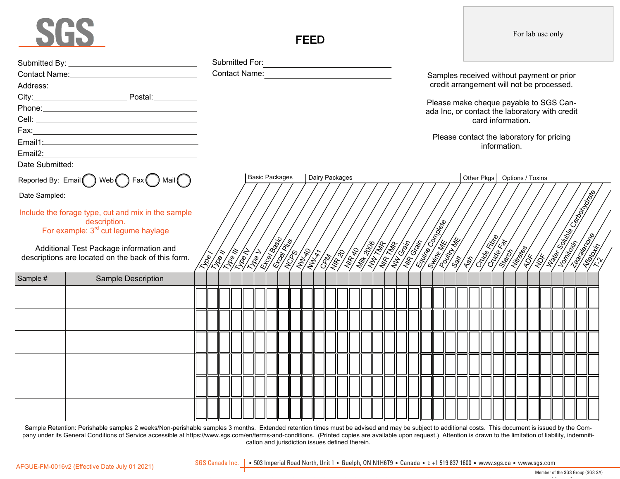# SGS

## FEED

For lab use only

|                                                                                                                       | Submitted For:                                                                                                                          |                                                                                                                                                                                                      |
|-----------------------------------------------------------------------------------------------------------------------|-----------------------------------------------------------------------------------------------------------------------------------------|------------------------------------------------------------------------------------------------------------------------------------------------------------------------------------------------------|
| Contact Name: 2008                                                                                                    | <b>Contact Name:</b>                                                                                                                    | Samples received without payment or prior                                                                                                                                                            |
|                                                                                                                       |                                                                                                                                         | credit arrangement will not be processed.                                                                                                                                                            |
|                                                                                                                       |                                                                                                                                         |                                                                                                                                                                                                      |
|                                                                                                                       |                                                                                                                                         | Please make cheque payable to SGS Can-<br>ada Inc, or contact the laboratory with credit                                                                                                             |
|                                                                                                                       |                                                                                                                                         | card information.                                                                                                                                                                                    |
|                                                                                                                       |                                                                                                                                         |                                                                                                                                                                                                      |
| Email1: Note: Note: Note: Note: Note: Note: Note: Note: Note: Note: Note: Note: Note: Note: Note: No                  |                                                                                                                                         | Please contact the laboratory for pricing<br>information.                                                                                                                                            |
|                                                                                                                       |                                                                                                                                         |                                                                                                                                                                                                      |
| Date Submitted:                                                                                                       |                                                                                                                                         |                                                                                                                                                                                                      |
| Reported By: Email $\bigcirc$ Web $\bigcirc$ Fax $\bigcirc$ Mail $\bigcirc$                                           | <b>Basic Packages</b><br>Dairy Packages                                                                                                 | Other Pkgs   Options / Toxins                                                                                                                                                                        |
|                                                                                                                       |                                                                                                                                         |                                                                                                                                                                                                      |
| Include the forage type, cut and mix in the sample<br>description.<br>For example: 3 <sup>rd</sup> cut legume haylage |                                                                                                                                         |                                                                                                                                                                                                      |
| Additional Test Package information and<br>descriptions are located on the back of this form.                         | $\begin{matrix} \sqrt{2} \\ \sqrt{2} \\ \sqrt{2} \end{matrix}$<br>$\sqrt{\frac{2}{3}}$<br>$x^2$<br>$\begin{matrix} 8 \\ 8 \end{matrix}$ | <b>Contract Contract Contract Contract Contract Contract Contract Contract Contract Contract Contract Contract Co</b><br><b>THE ARTISTS</b><br><b>Hajor</b><br>$\frac{1}{2}$<br>$\frac{1}{\sqrt{2}}$ |
| Sample #<br><b>Sample Description</b>                                                                                 |                                                                                                                                         |                                                                                                                                                                                                      |
|                                                                                                                       |                                                                                                                                         |                                                                                                                                                                                                      |
|                                                                                                                       |                                                                                                                                         |                                                                                                                                                                                                      |
|                                                                                                                       |                                                                                                                                         |                                                                                                                                                                                                      |
|                                                                                                                       |                                                                                                                                         |                                                                                                                                                                                                      |
|                                                                                                                       |                                                                                                                                         |                                                                                                                                                                                                      |
|                                                                                                                       |                                                                                                                                         |                                                                                                                                                                                                      |
|                                                                                                                       |                                                                                                                                         |                                                                                                                                                                                                      |
|                                                                                                                       |                                                                                                                                         |                                                                                                                                                                                                      |

Sample Retention: Perishable samples 2 weeks/Non-perishable samples 3 months. Extended retention times must be advised and may be subject to additional costs. This document is issued by the Company under its General Conditions of Service accessible at https://www.sgs.com/en/terms-and-conditions. (Printed copies are available upon request.) Attention is drawn to the limitation of liability, indemnification and jurisdiction issues defined therein.